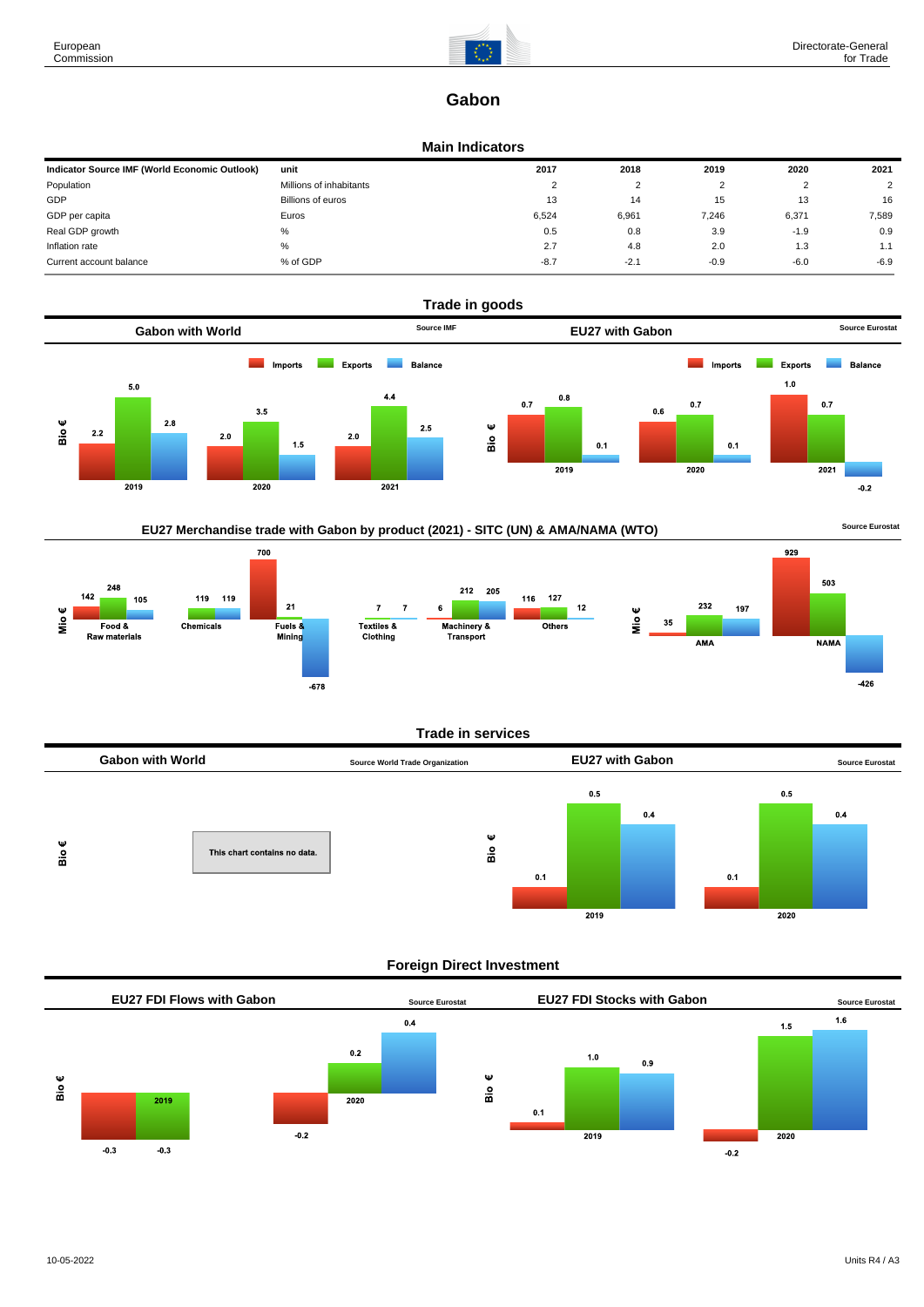

# **Gabon**

### **Main Indicators**

| Indicator Source IMF (World Economic Outlook) | unit                    | 2017   | 2018   | 2019   | 2020   | 2021           |
|-----------------------------------------------|-------------------------|--------|--------|--------|--------|----------------|
| Population                                    | Millions of inhabitants | ◠      |        |        |        | $\overline{2}$ |
| GDP                                           | Billions of euros       | 13     | 14     | 15     | 13     | 16             |
| GDP per capita                                | Euros                   | 6,524  | 6,961  | 7,246  | 6,371  | 7,589          |
| Real GDP growth                               | %                       | 0.5    | 0.8    | 3.9    | $-1.9$ | 0.9            |
| Inflation rate                                | $\%$                    | 2.7    | 4.8    | 2.0    | 1.3    | 1.1            |
| Current account balance                       | % of GDP                | $-8.7$ | $-2.1$ | $-0.9$ | $-6.0$ | $-6.9$         |



# EU27 Merchandise trade with Gabon by product (2021) - SITC (UN) & AMA/NAMA (WTO) **Source Eurostat**



#### **Trade in services**



#### **Foreign Direct Investment**